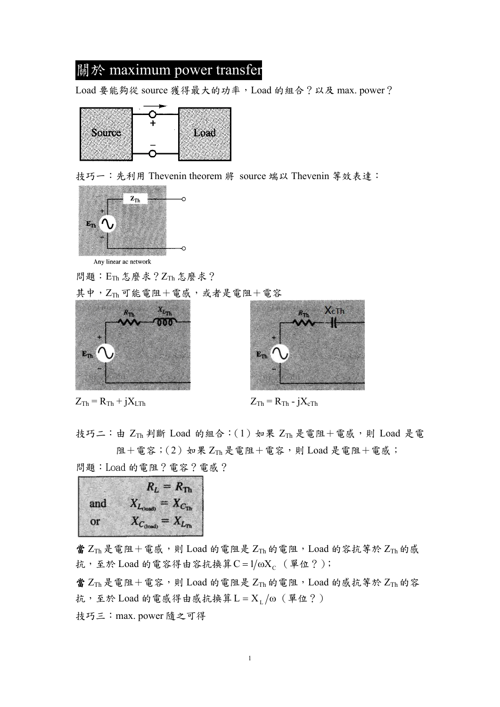# 關於 maximum power transfer

Load 要能夠從 source 獲得最大的功率, Load 的組合?以及 max. power?



技巧一:先利用 Thevenin theorem 將 source 端以 Thevenin 等效表達:



Any linear ac network

問題:ETh 怎麼求?ZTh 怎麼求?

其中,ZTh可能電阻+電感,或者是電阻+電容



 $Z_{\text{Th}} = R_{\text{Th}} + jX_{\text{LTh}}$   $Z_{\text{Th}} = R_{\text{Th}} - jX_{\text{cTh}}$ 



技巧二:由 $Z_{Th}$  判斷 Load 的組合: $(1)$  如果  $Z_{Th}$  是電阻+電感,則 Load 是電 阻+電容; $(2)$ 如果  $Z_{Th}$ 是電阻+電容,則 Load 是電阻+電感; 問題:Load 的電阻?電容?電感?



當  $Z_{Th}$ 是電阻+電感,則 Load 的電阻是  $Z_{Th}$  的電阻, Load 的容抗等於  $Z_{Th}$  的感 抗,至於 Load 的電容得由容抗換算 $C = 1/\omega X_C$  (單位?);

當  $Z_{Th}$ 是電阻+電容,則 Load 的電阻是  $Z_{Th}$  的電阻, Load 的感抗等於  $Z_{Th}$  的容 抗,至於 Load 的電感得由感抗換算 $L = X_L / \omega$  (單位?)

技巧三:max. power 隨之可得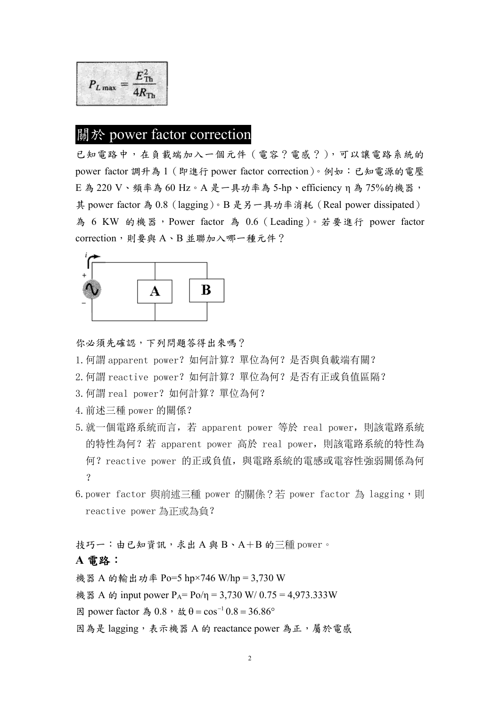$E_{\text{Th}}^2$  $P_{L\max} =$ 

### 關於 power factor correction

已知電路中,在負載端加入一個元件(電容?電感?),可以讓電路系統的 power factor 調升為 1(即進行 power factor correction)。例如:已知電源的電壓  $E$  為 220  $V \cdot$  頻率為 60 Hz。A 是一具功率為 5-hp、efficiency  $\eta$  為 75%的機器, 其 power factor 為 0.8(lagging)。B 是另一具功率消耗(Real power dissipated) 為 6 KW 的機器, Power factor 為 0.6 (Leading)。若要進行 power factor correction,則要與 A、B 並聯加入哪一種元件?



你必須先確認,下列問題答得出來嗎?

- 1. 何謂 apparent power? 如何計算? 單位為何? 是否與負載端有關?
- 2. 何謂 reactive power? 如何計算? 單位為何? 是否有正或負值區隔?
- 3. 何謂 real power? 如何計算? 單位為何?
- 4.前述三種 power 的關係?
- 5.就一個電路系統而言,若 apparent power 等於 real power,則該電路系統 的特性為何?若 apparent power 高於 real power,則該電路系統的特性為 何?reactive power 的正或負值,與電路系統的電感或電容性強弱關係為何  $\gamma$
- 6.power factor 與前述三種 power 的關係?若 power factor 為 lagging,則 reactive power 為正或為負?

技巧一:由已知資訊,求出A與B、A+B的三種 power。

#### **A** 電路:

機器 A 的輸出功率 Po=5 hp×746 W/hp = 3,730 W

機器 A 的 input power  $P_A = Po/n = 3{,}730$  W/ 0.75 = 4,973.333W

- 因 power factor 為 0.8, 故 θ =  $\cos^{-1}$  0.8 = 36.86°
- 因為是 lagging, 表示機器 A 的 reactance power 為正,屬於電感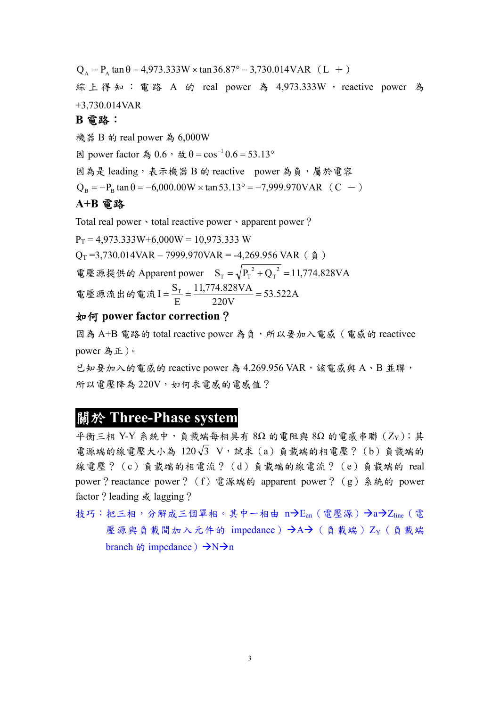$Q_A = P_A \tan \theta = 4.973.333W \times \tan 36.87^\circ = 3.730.014VAR$  (L +)

綜上得知:電路 A 的 real power 為 4,973.333W , reactive power 為 +3,730.014VAR

### **B** 電路:

機器 B 的 real power 為 6,000W

因 power factor 為 0.6, 故 θ = cos<sup>-1</sup> 0.6 = 53.13<sup>o</sup>

因為是 leading,表示機器 B 的 reactive power 為負,屬於電容

 $Q_B = -P_B \tan \theta = -6,000.00W \times \tan 53.13^\circ = -7,999.970VAR$  (C -)

### **A+B** 電路

Total real power · total reactive power · apparent power?

 $P_T = 4.973.333W + 6.000W = 10.973.333W$  $Q_T = 3,730.014VAR - 7999.970VAR = -4,269.956VAR$  ( $\AA$ ) 電壓源提供的 Apparent power  $S_T = \sqrt{P_T^2 + Q_T^2} = 11,774.828 VA$  $_{\rm T} = \sqrt{P_{\rm T}^{2} + Q_{\rm T}^{2}} =$ 電壓源流出的電流  $I = \frac{5T}{D} = \frac{11,777,020 \text{ V1}}{200 \text{ V1}} = 53.522 \text{ A}$ 220V 11,774.828VA E  $I = \frac{S_T}{I} = \frac{11,774.828 VA}{200} =$ 

### 如何 **power factor correction**?

因為 A+B 電路的 total reactive power 為負,所以要加入電感(電感的 reactivee power 為正)。

已知要加入的電感的 reactive power 為 4,269.956 VAR, 該電感與 A、B 並聯, 所以電壓降為 220V,如何求電感的電感值?

## 關於 **Three-Phase system**

平衡三相 Y-Y 系統中,負載端每相具有 8Ω 的電阻與 8Ω 的電感串聯  $(Z_Y)$ ;其 電源端的線電壓大小為  $120\sqrt{3}$  V, 試求 (a)負載端的相電壓?(b)負載端的 線電壓?(c)負載端的相電流?(d)負載端的線電流?(e)負載端的 real power?reactance power? (f) 電源端的 apparent power? (g) 系統的 power factor? leading 或 lagging?

技巧:把三相,分解成三個單相。其中一相由 n $\rightarrow$ E<sub>an</sub> (電壓源) $\rightarrow$ a $\rightarrow$ Z<sub>line</sub> (電 壓源與負載間加入元件的 impedance)  $\rightarrow$ A $\rightarrow$  ( 貪載端) Zy ( 貪載端 branch  $\phi$  impedance)  $\rightarrow N\rightarrow n$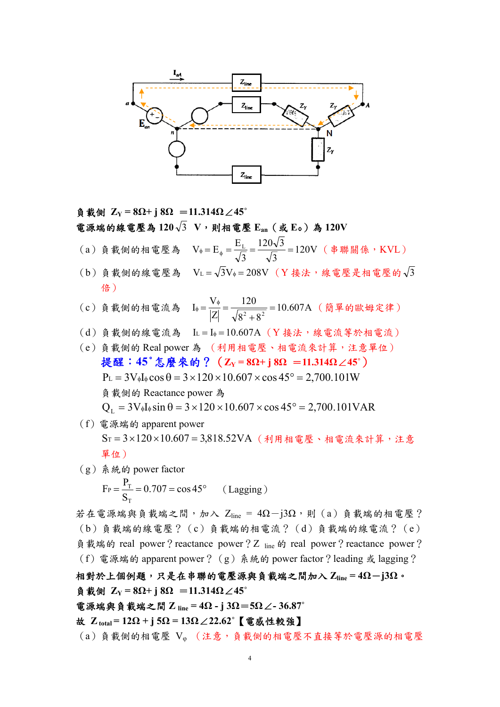

負載側 **ZY = 8Ω+ j 8Ω** =**11.314Ω**∠**45˚** 電源端的線電壓為 **120** 3 **V**,則相電壓 **Ean**(或 **E**Φ)為 **120V**  (a) 負載側的相電壓為  $V_{\phi} = E_{\phi} = \frac{L_{L}}{L_{c}} = \frac{120 V J}{L_{c}} = 120 V$ 3  $120\sqrt{3}$ 3  $V_{\phi} = E_{\phi} = \frac{E_{L}}{\sqrt{2}} = \frac{120\sqrt{3}}{\sqrt{2}} = 120V$  (串聯關係,KVL) (b)負載側的線電壓為 VL =  $\sqrt{3}V_{\phi} = 208V$  (Y 接法,線電壓是相電壓的 $\sqrt{3}$ 倍) (c)負載側的相電流為 10.607A  $8^2 + 8$ 120 Z  $I_{\phi} = \frac{V_{\phi}}{|Z|} = \frac{120}{\sqrt{8^2 + 8^2}} = 10.607 \text{A}$  (簡單的歐姆定律) (d)負載側的線電流為 A IL I 10.607 (Y 接法,線電流等於相電流) (e)負載側的 Real power 為 (利用相電壓、相電流來計算,注意單位) 提醒:**45**°怎麼來的?(**ZY = 8Ω+ j 8Ω** =**11.314Ω**∠**45˚**)  $P_L = 3V_0I_0 \cos \theta = 3 \times 120 \times 10.607 \times \cos 45^\circ = 2,700.101W$ 負載側的 Reactance power 為  $Q_L = 3V_{\phi}I_{\phi} \sin \theta = 3 \times 120 \times 10.607 \times \cos 45^{\circ} = 2,700.101 \text{VAR}$ 

- (f)電源端的 apparent power  $S_T = 3 \times 120 \times 10.607 = 3.818.52VA$  (利用相電壓、相電流來計算,注意 單位)
- (g)系統的 power factor  $F_P = \frac{P_T}{S_T} = 0.707 = \cos 45^\circ$ T  $P = \frac{P_{\text{t}}}{Q} = 0.707 = \cos 45^{\circ}$  (Lagging)

若在電源端與負載端之間,加入 Zline =  $4\Omega - j3\Omega$ ,則 $(a)$ 負載端的相電壓? (b)負載端的線電壓?(c)負載端的相電流?(d)負載端的線電流?(e) 負載端的 real power? reactance power? Z  $_{line}$  the dy real power? reactance power? (f)電源端的 apparent power?(g)系統的 power factor?leading 或 lagging?

相對於上個例題,只是在串聯的電壓源與負載端之間加入 **Zline = 4Ω**-**j3Ω**。 負載側 **ZY = 8Ω+ j 8Ω** =**11.314Ω**∠**45˚**  電源端與負載端之間 **Z line = 4Ω - j 3Ω**=**5Ω**∠**- 36.87˚**

故 **Z total = 12Ω + j 5Ω = 13Ω**∠**22.62˚**【電感性較強】

(a)負載側的相電壓 V<sup>φ</sup> (注意,負載側的相電壓不直接等於電壓源的相電壓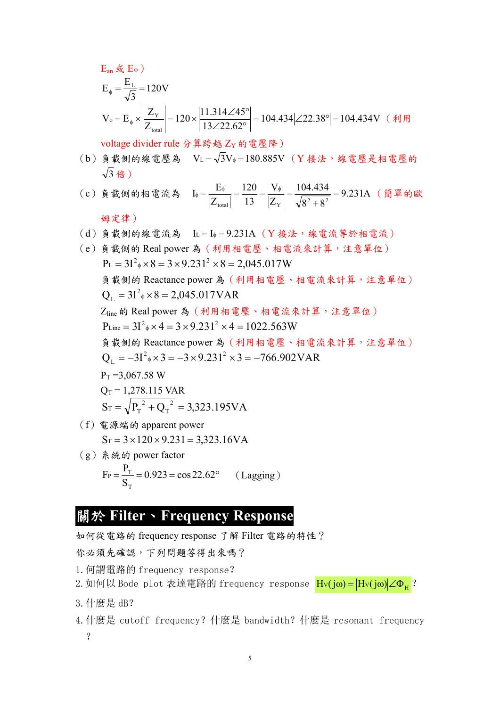$E_{\text{an}}$ 或 $E_{\Phi}$ ) 120V 3  $E_{\phi} = \frac{E_{L}}{\sqrt{2}} = 120V$  $104.434 \angle 22.38^\circ = 104.434$ V 13 22.62  $120 \times \frac{11.314 \angle 45}{120 \angle 626}$ Z  $V_{\phi} = E_{\phi} \times \left| \frac{Z}{Z} \right|$  $\mathcal{L}_{\phi} = E_{\phi} \times \left| \frac{Z_{\text{Y}}}{Z_{\text{total}}} \right| = 120 \times \left| \frac{11.314 \angle 45^{\circ}}{13 \angle 22.62^{\circ}} \right| = 104.434 \left| \angle 22.38^{\circ} \right| = 104.434 \text{V} \quad (\text{if } \text{H})$ 

voltage divider rule 分算跨越 ZY 的電壓降)

- $(b)$ 負載側的線電壓為  $V_L = \sqrt{3}V_{\phi} = 180.885V$  (Y接法,線電壓是相電壓的  $\sqrt{3}$  倍)
- (c) 負載側的相電流為  $I_{\phi} = \frac{L_{\phi}}{2} = \frac{L_{\phi}}{2} = \frac{120}{22} = \frac{1}{2} = \frac{104.734}{2} = 9.231$ A  $8^2 + 8$ 104.434 Z V 13 120 Z  $I_{\phi} = \frac{E_{\phi}}{|Z_{\text{total}}|} = \frac{120}{13} = \frac{V_{\phi}}{|Z_{\text{Y}}|} = \frac{104.434}{\sqrt{8^2 + 8^2}} = 9.231A$  (簡單的歐

### 姆定律)

- (d)負載側的線電流為 A IL I 9.231 (Y 接法,線電流等於相電流)
- (e)負載側的 Real power 為(利用相電壓、相電流來計算,注意單位)  $P_{L} = 3I^{2}{}_{\phi} \times 8 = 3 \times 9.231^{2} \times 8 = 2,045.017W$ 負載側的 Reactance power 為(利用相電壓、相電流來計算,注意單位)  $Q_{L} = 3I^{2}$ <sub>\*</sub> × 8 = 2,045.017VAR Zline的 Real power 為(利用相電壓、相電流來計算,注意單位)  $P_{Line} = 3I^2 \phi \times 4 = 3 \times 9.231^2 \times 4 = 1022.563W$ 負載側的 Reactance power 為(利用相電壓、相電流來計算,注意單位)  $Q_L = -3I^2 \phi \times 3 = -3 \times 9.231^2 \times 3 = -766.902 \text{VAR}$  $P_T = 3.067.58$  W  $Q_T = 1,278.115 \text{ VAR}$  $S_T = \sqrt{P_T^2 + Q_T^2} = 3{,}323.195 VA$  $T = \sqrt{P_T^2 + Q_T^2} =$ (f)電源端的 apparent power  $S_T = 3 \times 120 \times 9.231 = 3,323.16VA$
- (g)系統的 power factor  $F_P = \frac{P_T}{S_T} = 0.923 = \cos 22.62^\circ$  (Lagging) T

# 關於 **Filter**、**Frequency Response**

如何從電路的 frequency response 了解 Filter 電路的特性?

你必須先確認,下列問題答得出來嗎?

- 1.何謂電路的 frequency response?
- 2. 如何以 Bode plot 表達電路的 frequency response Hv(jω) = Hv(jω) ∠ $\Phi_H$ ?
- 3.什麼是 dB?
- 4.什麼是 cutoff frequency?什麼是 bandwidth?什麼是 resonant frequency ?